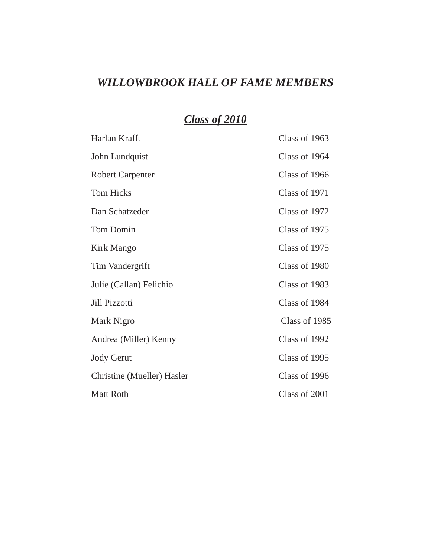# *WILLOWBROOK HALL OF FAME MEMBERS*

*Class of 2010*

| Harlan Krafft              | Class of 1963 |
|----------------------------|---------------|
| John Lundquist             | Class of 1964 |
| <b>Robert Carpenter</b>    | Class of 1966 |
| <b>Tom Hicks</b>           | Class of 1971 |
| Dan Schatzeder             | Class of 1972 |
| <b>Tom Domin</b>           | Class of 1975 |
| Kirk Mango                 | Class of 1975 |
| Tim Vandergrift            | Class of 1980 |
| Julie (Callan) Felichio    | Class of 1983 |
| Jill Pizzotti              | Class of 1984 |
| Mark Nigro                 | Class of 1985 |
| Andrea (Miller) Kenny      | Class of 1992 |
| <b>Jody Gerut</b>          | Class of 1995 |
| Christine (Mueller) Hasler | Class of 1996 |
| <b>Matt Roth</b>           | Class of 2001 |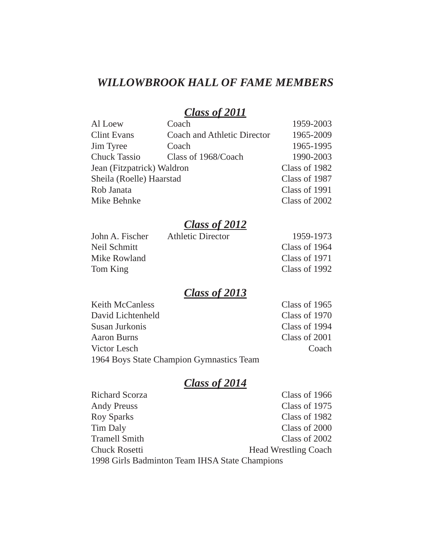## *WILLOWBROOK HALL OF FAME MEMBERS*

# *Class of 2011*

| Al Loew                    | Coach                              | 1959-2003     |
|----------------------------|------------------------------------|---------------|
| <b>Clint Evans</b>         | <b>Coach and Athletic Director</b> | 1965-2009     |
| Jim Tyree                  | Coach                              | 1965-1995     |
| <b>Chuck Tassio</b>        | Class of 1968/Coach                | 1990-2003     |
| Jean (Fitzpatrick) Waldron |                                    | Class of 1982 |
| Sheila (Roelle) Haarstad   |                                    | Class of 1987 |
| Rob Janata                 |                                    | Class of 1991 |
| Mike Behnke                |                                    | Class of 2002 |

## *Class of 2012*

| John A. Fischer | <b>Athletic Director</b> | 1959-1973     |
|-----------------|--------------------------|---------------|
| Neil Schmitt    |                          | Class of 1964 |
| Mike Rowland    |                          | Class of 1971 |
| Tom King        |                          | Class of 1992 |

## *Class of 2013*

| <b>Keith McCanless</b>                   | Class of 1965 |
|------------------------------------------|---------------|
| David Lichtenheld                        | Class of 1970 |
| Susan Jurkonis                           | Class of 1994 |
| <b>Aaron Burns</b>                       | Class of 2001 |
| Victor Lesch                             | Coach         |
| 1964 Boys State Champion Gymnastics Team |               |
|                                          |               |

## *Class of 2014*

| <b>Richard Scorza</b>                          | Class of 1966               |
|------------------------------------------------|-----------------------------|
| <b>Andy Preuss</b>                             | Class of 1975               |
| <b>Roy Sparks</b>                              | Class of 1982               |
| <b>Tim Daly</b>                                | Class of 2000               |
| <b>Tramell Smith</b>                           | Class of 2002               |
| <b>Chuck Rosetti</b>                           | <b>Head Wrestling Coach</b> |
| 1998 Girls Badminton Team IHSA State Champions |                             |
|                                                |                             |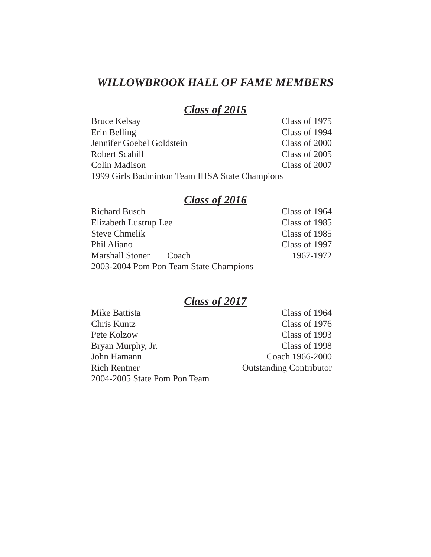## *WILLOWBROOK HALL OF FAME MEMBERS*

## *Class of 2015*

| <b>Bruce Kelsay</b>                            | Class of 1975 |
|------------------------------------------------|---------------|
| Erin Belling                                   | Class of 1994 |
| Jennifer Goebel Goldstein                      | Class of 2000 |
| Robert Scahill                                 | Class of 2005 |
| Colin Madison                                  | Class of 2007 |
| 1999 Girls Badminton Team IHSA State Champions |               |

## *Class of 2016*

| <b>Richard Busch</b>                   | Class of 1964 |
|----------------------------------------|---------------|
| Elizabeth Lustrup Lee                  | Class of 1985 |
| <b>Steve Chmelik</b>                   | Class of 1985 |
| Phil Aliano                            | Class of 1997 |
| Marshall Stoner Coach                  | 1967-1972     |
| 2003-2004 Pom Pon Team State Champions |               |

## *Class of 2017*

| Mike Battista                | Class of 1964                  |
|------------------------------|--------------------------------|
| Chris Kuntz                  | Class of 1976                  |
| Pete Kolzow                  | Class of 1993                  |
| Bryan Murphy, Jr.            | Class of 1998                  |
| John Hamann                  | Coach 1966-2000                |
| <b>Rich Rentner</b>          | <b>Outstanding Contributor</b> |
| 2004-2005 State Pom Pon Team |                                |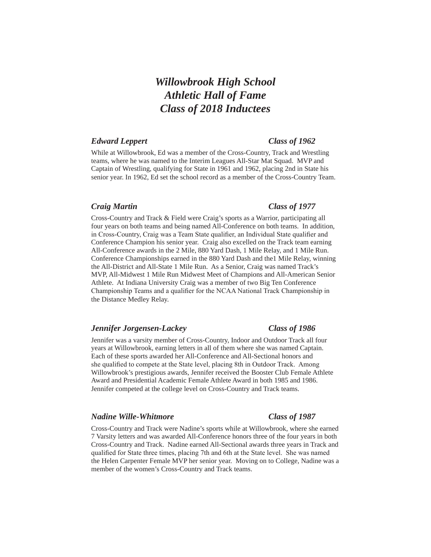## *Willowbrook High School Athletic Hall of Fame Class of 2018 Inductees*

## *Edward Leppert Class of 1962*

While at Willowbrook, Ed was a member of the Cross-Country, Track and Wrestling teams, where he was named to the Interim Leagues All-Star Mat Squad. MVP and Captain of Wrestling, qualifying for State in 1961 and 1962, placing 2nd in State his senior year. In 1962, Ed set the school record as a member of the Cross-Country Team.

#### *Craig Martin Class of 1977*

Cross-Country and Track & Field were Craig's sports as a Warrior, participating all four years on both teams and being named All-Conference on both teams. In addition, in Cross-Country, Craig was a Team State qualifier, an Individual State qualifier and Conference Champion his senior year. Craig also excelled on the Track team earning All-Conference awards in the 2 Mile, 880 Yard Dash, 1 Mile Relay, and 1 Mile Run. Conference Championships earned in the 880 Yard Dash and the1 Mile Relay, winning the All-District and All-State 1 Mile Run. As a Senior, Craig was named Track's MVP, All-Midwest 1 Mile Run Midwest Meet of Champions and All-American Senior Athlete. At Indiana University Craig was a member of two Big Ten Conference Championship Teams and a qualifier for the NCAA National Track Championship in the Distance Medley Relay.

## *Jennifer Jorgensen-Lackey Class of 1986*

Jennifer was a varsity member of Cross-Country, Indoor and Outdoor Track all four years at Willowbrook, earning letters in all of them where she was named Captain. Each of these sports awarded her All-Conference and All-Sectional honors and she qualified to compete at the State level, placing 8th in Outdoor Track. Among Willowbrook's prestigious awards, Jennifer received the Booster Club Female Athlete Award and Presidential Academic Female Athlete Award in both 1985 and 1986. Jennifer competed at the college level on Cross-Country and Track teams.

## *Nadine Wille-Whitmore Class of 1987*

Cross-Country and Track were Nadine's sports while at Willowbrook, where she earned 7 Varsity letters and was awarded All-Conference honors three of the four years in both Cross-Country and Track. Nadine earned All-Sectional awards three years in Track and qualified for State three times, placing 7th and 6th at the State level. She was named the Helen Carpenter Female MVP her senior year. Moving on to College, Nadine was a member of the women's Cross-Country and Track teams.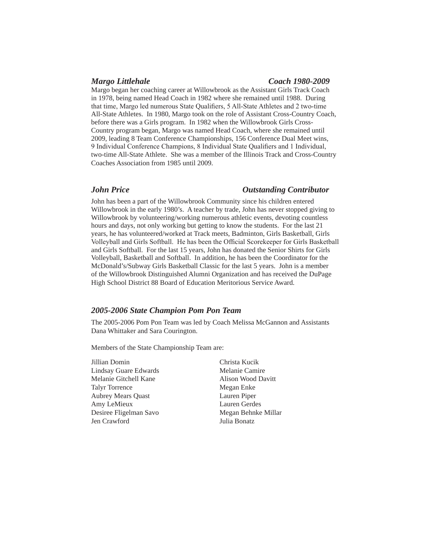#### *Margo Littlehale Coach 1980-2009*

Margo began her coaching career at Willowbrook as the Assistant Girls Track Coach in 1978, being named Head Coach in 1982 where she remained until 1988. During that time, Margo led numerous State Qualifiers, 5 All-State Athletes and 2 two-time All-State Athletes. In 1980, Margo took on the role of Assistant Cross-Country Coach, before there was a Girls program. In 1982 when the Willowbrook Girls Cross-Country program began, Margo was named Head Coach, where she remained until 2009, leading 8 Team Conference Championships, 156 Conference Dual Meet wins, 9 Individual Conference Champions, 8 Individual State Qualifiers and 1 Individual, two-time All-State Athlete. She was a member of the Illinois Track and Cross-Country Coaches Association from 1985 until 2009.

## *John Price Outstanding Contributor*

John has been a part of the Willowbrook Community since his children entered Willowbrook in the early 1980's. A teacher by trade, John has never stopped giving to Willowbrook by volunteering/working numerous athletic events, devoting countless hours and days, not only working but getting to know the students. For the last 21 years, he has volunteered/worked at Track meets, Badminton, Girls Basketball, Girls Volleyball and Girls Softball. He has been the Official Scorekeeper for Girls Basketball and Girls Softball. For the last 15 years, John has donated the Senior Shirts for Girls Volleyball, Basketball and Softball. In addition, he has been the Coordinator for the McDonald's/Subway Girls Basketball Classic for the last 5 years. John is a member of the Willowbrook Distinguished Alumni Organization and has received the DuPage High School District 88 Board of Education Meritorious Service Award.

#### *2005-2006 State Champion Pom Pon Team*

The 2005-2006 Pom Pon Team was led by Coach Melissa McGannon and Assistants Dana Whittaker and Sara Courington.

Members of the State Championship Team are:

- Jillian Domin Lindsay Guare Edwards Melanie Gitchell Kane Talyr Torrence Aubrey Mears Quast Amy LeMieux Desiree Fligelman Savo Jen Crawford
- Christa Kucik Melanie Camire Alison Wood Davitt Megan Enke Lauren Piper Lauren Gerdes Megan Behnke Millar Julia Bonatz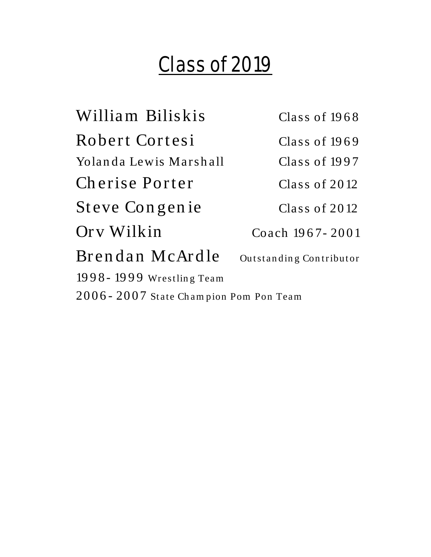# Class of 2019

William Biliskis Class of 1968 Robert Cortesi Class of 1969 Yolanda Lewis Marshall Class of 1997 Cherise Porter Class of 2012 Steve Congenie Class of 2012 Or v Wilkin Coach 1967-2001 Brendan McArdle Outstanding Contributor 19 9 8 - 19 9 9 Wrestling Team 2006 - 2007 St ate Ch am pion Pom Pon Team